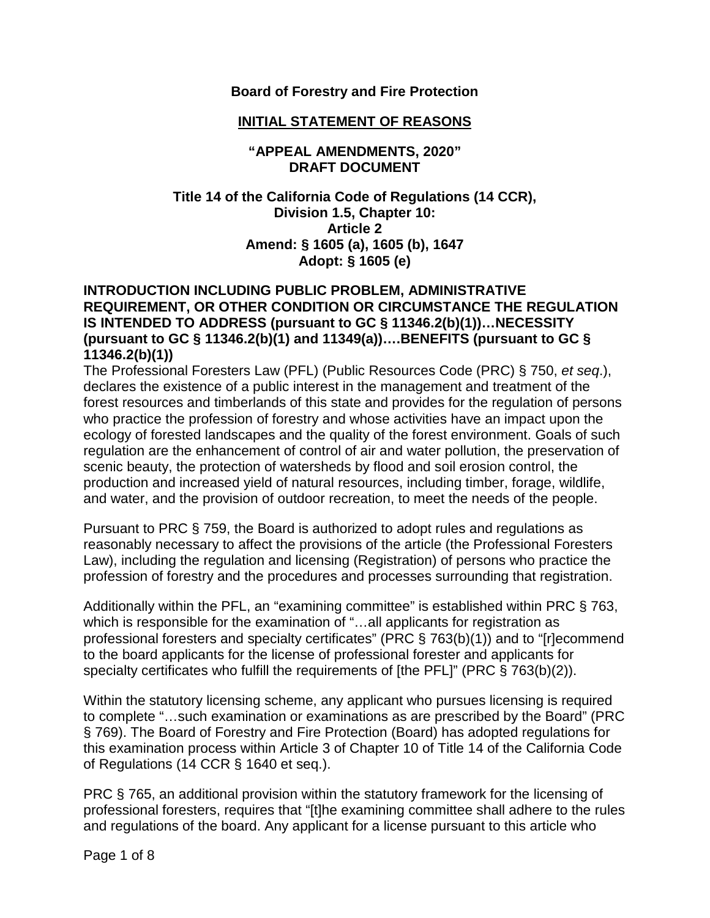### **Board of Forestry and Fire Protection**

#### **INITIAL STATEMENT OF REASONS**

#### **"APPEAL AMENDMENTS, 2020" DRAFT DOCUMENT**

### **Title 14 of the California Code of Regulations (14 CCR), Division 1.5, Chapter 10: Article 2 Amend: § 1605 (a), 1605 (b), 1647 Adopt: § 1605 (e)**

#### **INTRODUCTION INCLUDING PUBLIC PROBLEM, ADMINISTRATIVE REQUIREMENT, OR OTHER CONDITION OR CIRCUMSTANCE THE REGULATION IS INTENDED TO ADDRESS (pursuant to GC § 11346.2(b)(1))…NECESSITY (pursuant to GC § 11346.2(b)(1) and 11349(a))….BENEFITS (pursuant to GC § 11346.2(b)(1))**

The Professional Foresters Law (PFL) (Public Resources Code (PRC) § 750, *et seq*.), declares the existence of a public interest in the management and treatment of the forest resources and timberlands of this state and provides for the regulation of persons who practice the profession of forestry and whose activities have an impact upon the ecology of forested landscapes and the quality of the forest environment. Goals of such regulation are the enhancement of control of air and water pollution, the preservation of scenic beauty, the protection of watersheds by flood and soil erosion control, the production and increased yield of natural resources, including timber, forage, wildlife, and water, and the provision of outdoor recreation, to meet the needs of the people.

Pursuant to PRC § 759, the Board is authorized to adopt rules and regulations as reasonably necessary to affect the provisions of the article (the Professional Foresters Law), including the regulation and licensing (Registration) of persons who practice the profession of forestry and the procedures and processes surrounding that registration.

Additionally within the PFL, an "examining committee" is established within PRC § 763, which is responsible for the examination of "...all applicants for registration as professional foresters and specialty certificates" (PRC § 763(b)(1)) and to "[r]ecommend to the board applicants for the license of professional forester and applicants for specialty certificates who fulfill the requirements of [the PFL]" (PRC § 763(b)(2)).

Within the statutory licensing scheme, any applicant who pursues licensing is required to complete "…such examination or examinations as are prescribed by the Board" (PRC § 769). The Board of Forestry and Fire Protection (Board) has adopted regulations for this examination process within Article 3 of Chapter 10 of Title 14 of the California Code of Regulations (14 CCR § 1640 et seq.).

PRC § 765, an additional provision within the statutory framework for the licensing of professional foresters, requires that "[t]he examining committee shall adhere to the rules and regulations of the board. Any applicant for a license pursuant to this article who

Page 1 of 8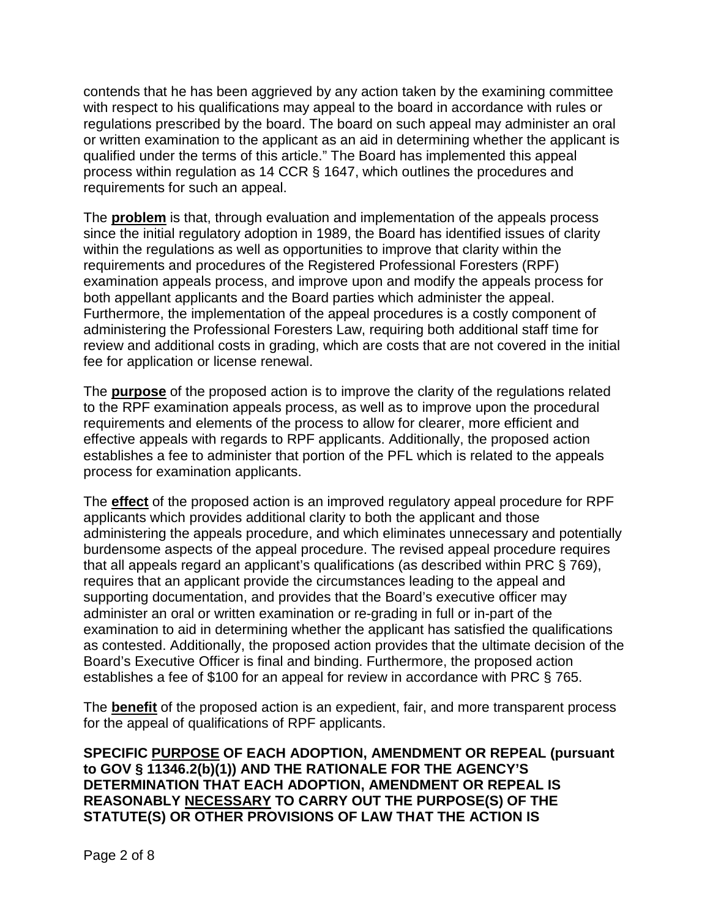contends that he has been aggrieved by any action taken by the examining committee with respect to his qualifications may appeal to the board in accordance with rules or regulations prescribed by the board. The board on such appeal may administer an oral or written examination to the applicant as an aid in determining whether the applicant is qualified under the terms of this article." The Board has implemented this appeal process within regulation as 14 CCR § 1647, which outlines the procedures and requirements for such an appeal.

The **problem** is that, through evaluation and implementation of the appeals process since the initial regulatory adoption in 1989, the Board has identified issues of clarity within the regulations as well as opportunities to improve that clarity within the requirements and procedures of the Registered Professional Foresters (RPF) examination appeals process, and improve upon and modify the appeals process for both appellant applicants and the Board parties which administer the appeal. Furthermore, the implementation of the appeal procedures is a costly component of administering the Professional Foresters Law, requiring both additional staff time for review and additional costs in grading, which are costs that are not covered in the initial fee for application or license renewal.

The **purpose** of the proposed action is to improve the clarity of the regulations related to the RPF examination appeals process, as well as to improve upon the procedural requirements and elements of the process to allow for clearer, more efficient and effective appeals with regards to RPF applicants. Additionally, the proposed action establishes a fee to administer that portion of the PFL which is related to the appeals process for examination applicants.

The **effect** of the proposed action is an improved regulatory appeal procedure for RPF applicants which provides additional clarity to both the applicant and those administering the appeals procedure, and which eliminates unnecessary and potentially burdensome aspects of the appeal procedure. The revised appeal procedure requires that all appeals regard an applicant's qualifications (as described within PRC § 769), requires that an applicant provide the circumstances leading to the appeal and supporting documentation, and provides that the Board's executive officer may administer an oral or written examination or re-grading in full or in-part of the examination to aid in determining whether the applicant has satisfied the qualifications as contested. Additionally, the proposed action provides that the ultimate decision of the Board's Executive Officer is final and binding. Furthermore, the proposed action establishes a fee of \$100 for an appeal for review in accordance with PRC § 765.

The **benefit** of the proposed action is an expedient, fair, and more transparent process for the appeal of qualifications of RPF applicants.

**SPECIFIC PURPOSE OF EACH ADOPTION, AMENDMENT OR REPEAL (pursuant to GOV § 11346.2(b)(1)) AND THE RATIONALE FOR THE AGENCY'S DETERMINATION THAT EACH ADOPTION, AMENDMENT OR REPEAL IS REASONABLY NECESSARY TO CARRY OUT THE PURPOSE(S) OF THE STATUTE(S) OR OTHER PROVISIONS OF LAW THAT THE ACTION IS**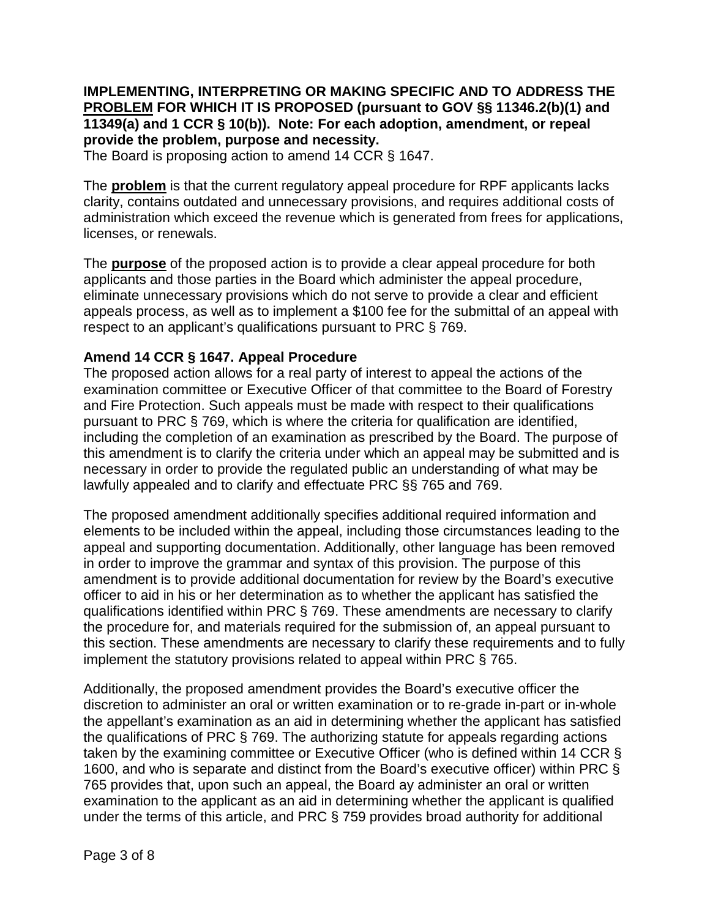## **IMPLEMENTING, INTERPRETING OR MAKING SPECIFIC AND TO ADDRESS THE PROBLEM FOR WHICH IT IS PROPOSED (pursuant to GOV §§ 11346.2(b)(1) and 11349(a) and 1 CCR § 10(b)). Note: For each adoption, amendment, or repeal provide the problem, purpose and necessity.**

The Board is proposing action to amend 14 CCR § 1647.

The **problem** is that the current regulatory appeal procedure for RPF applicants lacks clarity, contains outdated and unnecessary provisions, and requires additional costs of administration which exceed the revenue which is generated from frees for applications, licenses, or renewals.

The **purpose** of the proposed action is to provide a clear appeal procedure for both applicants and those parties in the Board which administer the appeal procedure, eliminate unnecessary provisions which do not serve to provide a clear and efficient appeals process, as well as to implement a \$100 fee for the submittal of an appeal with respect to an applicant's qualifications pursuant to PRC § 769.

## **Amend 14 CCR § 1647. Appeal Procedure**

The proposed action allows for a real party of interest to appeal the actions of the examination committee or Executive Officer of that committee to the Board of Forestry and Fire Protection. Such appeals must be made with respect to their qualifications pursuant to PRC § 769, which is where the criteria for qualification are identified, including the completion of an examination as prescribed by the Board. The purpose of this amendment is to clarify the criteria under which an appeal may be submitted and is necessary in order to provide the regulated public an understanding of what may be lawfully appealed and to clarify and effectuate PRC §§ 765 and 769.

The proposed amendment additionally specifies additional required information and elements to be included within the appeal, including those circumstances leading to the appeal and supporting documentation. Additionally, other language has been removed in order to improve the grammar and syntax of this provision. The purpose of this amendment is to provide additional documentation for review by the Board's executive officer to aid in his or her determination as to whether the applicant has satisfied the qualifications identified within PRC § 769. These amendments are necessary to clarify the procedure for, and materials required for the submission of, an appeal pursuant to this section. These amendments are necessary to clarify these requirements and to fully implement the statutory provisions related to appeal within PRC § 765.

Additionally, the proposed amendment provides the Board's executive officer the discretion to administer an oral or written examination or to re-grade in-part or in-whole the appellant's examination as an aid in determining whether the applicant has satisfied the qualifications of PRC § 769. The authorizing statute for appeals regarding actions taken by the examining committee or Executive Officer (who is defined within 14 CCR § 1600, and who is separate and distinct from the Board's executive officer) within PRC § 765 provides that, upon such an appeal, the Board ay administer an oral or written examination to the applicant as an aid in determining whether the applicant is qualified under the terms of this article, and PRC § 759 provides broad authority for additional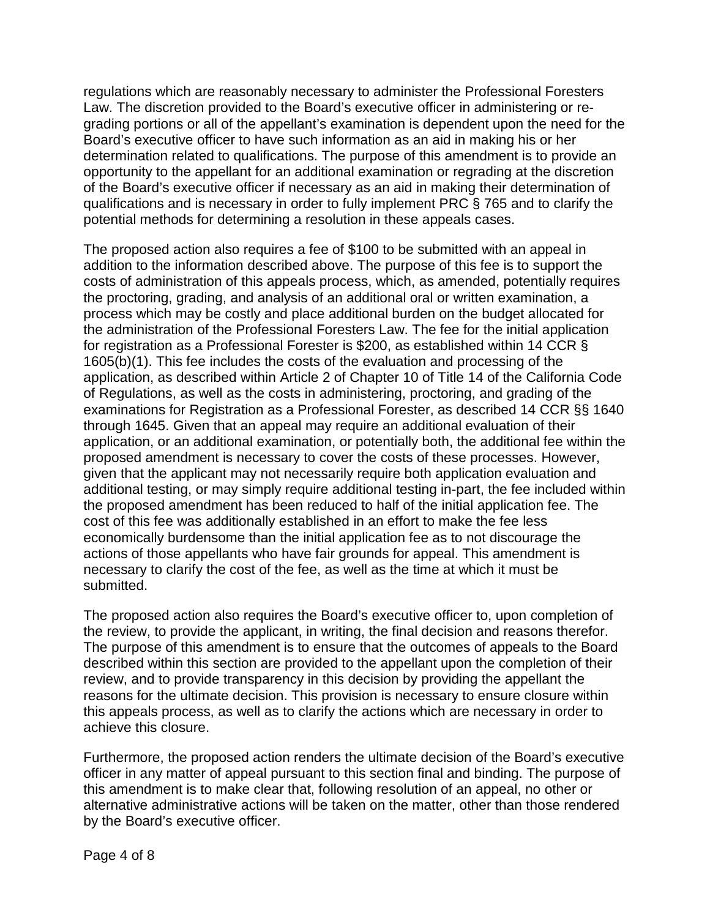regulations which are reasonably necessary to administer the Professional Foresters Law. The discretion provided to the Board's executive officer in administering or regrading portions or all of the appellant's examination is dependent upon the need for the Board's executive officer to have such information as an aid in making his or her determination related to qualifications. The purpose of this amendment is to provide an opportunity to the appellant for an additional examination or regrading at the discretion of the Board's executive officer if necessary as an aid in making their determination of qualifications and is necessary in order to fully implement PRC § 765 and to clarify the potential methods for determining a resolution in these appeals cases.

The proposed action also requires a fee of \$100 to be submitted with an appeal in addition to the information described above. The purpose of this fee is to support the costs of administration of this appeals process, which, as amended, potentially requires the proctoring, grading, and analysis of an additional oral or written examination, a process which may be costly and place additional burden on the budget allocated for the administration of the Professional Foresters Law. The fee for the initial application for registration as a Professional Forester is \$200, as established within 14 CCR § 1605(b)(1). This fee includes the costs of the evaluation and processing of the application, as described within Article 2 of Chapter 10 of Title 14 of the California Code of Regulations, as well as the costs in administering, proctoring, and grading of the examinations for Registration as a Professional Forester, as described 14 CCR §§ 1640 through 1645. Given that an appeal may require an additional evaluation of their application, or an additional examination, or potentially both, the additional fee within the proposed amendment is necessary to cover the costs of these processes. However, given that the applicant may not necessarily require both application evaluation and additional testing, or may simply require additional testing in-part, the fee included within the proposed amendment has been reduced to half of the initial application fee. The cost of this fee was additionally established in an effort to make the fee less economically burdensome than the initial application fee as to not discourage the actions of those appellants who have fair grounds for appeal. This amendment is necessary to clarify the cost of the fee, as well as the time at which it must be submitted.

The proposed action also requires the Board's executive officer to, upon completion of the review, to provide the applicant, in writing, the final decision and reasons therefor. The purpose of this amendment is to ensure that the outcomes of appeals to the Board described within this section are provided to the appellant upon the completion of their review, and to provide transparency in this decision by providing the appellant the reasons for the ultimate decision. This provision is necessary to ensure closure within this appeals process, as well as to clarify the actions which are necessary in order to achieve this closure.

Furthermore, the proposed action renders the ultimate decision of the Board's executive officer in any matter of appeal pursuant to this section final and binding. The purpose of this amendment is to make clear that, following resolution of an appeal, no other or alternative administrative actions will be taken on the matter, other than those rendered by the Board's executive officer.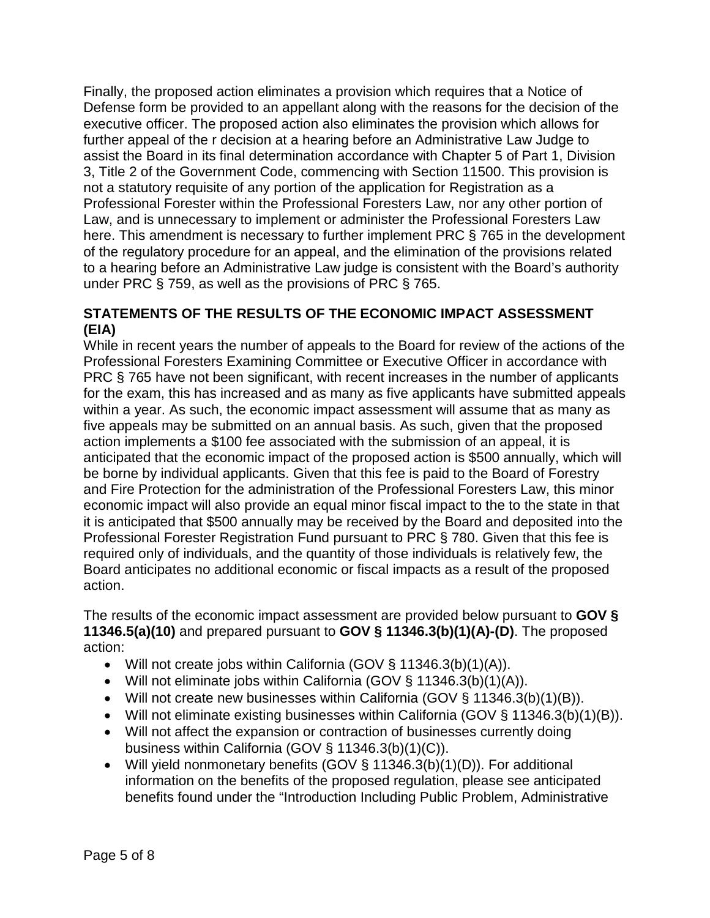Finally, the proposed action eliminates a provision which requires that a Notice of Defense form be provided to an appellant along with the reasons for the decision of the executive officer. The proposed action also eliminates the provision which allows for further appeal of the r decision at a hearing before an Administrative Law Judge to assist the Board in its final determination accordance with Chapter 5 of Part 1, Division 3, Title 2 of the Government Code, commencing with Section 11500. This provision is not a statutory requisite of any portion of the application for Registration as a Professional Forester within the Professional Foresters Law, nor any other portion of Law, and is unnecessary to implement or administer the Professional Foresters Law here. This amendment is necessary to further implement PRC § 765 in the development of the regulatory procedure for an appeal, and the elimination of the provisions related to a hearing before an Administrative Law judge is consistent with the Board's authority under PRC § 759, as well as the provisions of PRC § 765.

## **STATEMENTS OF THE RESULTS OF THE ECONOMIC IMPACT ASSESSMENT (EIA)**

While in recent years the number of appeals to the Board for review of the actions of the Professional Foresters Examining Committee or Executive Officer in accordance with PRC § 765 have not been significant, with recent increases in the number of applicants for the exam, this has increased and as many as five applicants have submitted appeals within a year. As such, the economic impact assessment will assume that as many as five appeals may be submitted on an annual basis. As such, given that the proposed action implements a \$100 fee associated with the submission of an appeal, it is anticipated that the economic impact of the proposed action is \$500 annually, which will be borne by individual applicants. Given that this fee is paid to the Board of Forestry and Fire Protection for the administration of the Professional Foresters Law, this minor economic impact will also provide an equal minor fiscal impact to the to the state in that it is anticipated that \$500 annually may be received by the Board and deposited into the Professional Forester Registration Fund pursuant to PRC § 780. Given that this fee is required only of individuals, and the quantity of those individuals is relatively few, the Board anticipates no additional economic or fiscal impacts as a result of the proposed action.

The results of the economic impact assessment are provided below pursuant to **GOV § 11346.5(a)(10)** and prepared pursuant to **GOV § 11346.3(b)(1)(A)-(D)**. The proposed action:

- Will not create jobs within California (GOV § 11346.3(b)(1)(A)).
- Will not eliminate jobs within California (GOV § 11346.3(b)(1)(A)).
- Will not create new businesses within California (GOV § 11346.3(b)(1)(B)).
- Will not eliminate existing businesses within California (GOV § 11346.3(b)(1)(B)).
- Will not affect the expansion or contraction of businesses currently doing business within California (GOV § 11346.3(b)(1)(C)).
- Will yield nonmonetary benefits (GOV § 11346.3(b)(1)(D)). For additional information on the benefits of the proposed regulation, please see anticipated benefits found under the "Introduction Including Public Problem, Administrative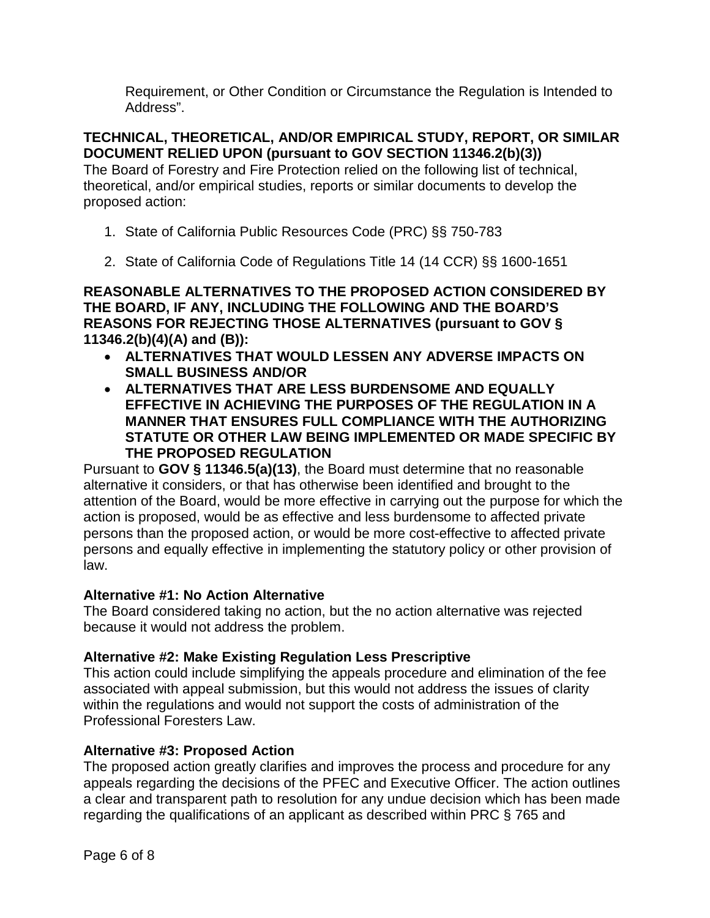Requirement, or Other Condition or Circumstance the Regulation is Intended to Address".

**TECHNICAL, THEORETICAL, AND/OR EMPIRICAL STUDY, REPORT, OR SIMILAR DOCUMENT RELIED UPON (pursuant to GOV SECTION 11346.2(b)(3))**

The Board of Forestry and Fire Protection relied on the following list of technical, theoretical, and/or empirical studies, reports or similar documents to develop the proposed action:

- 1. State of California Public Resources Code (PRC) §§ 750-783
- 2. State of California Code of Regulations Title 14 (14 CCR) §§ 1600-1651

**REASONABLE ALTERNATIVES TO THE PROPOSED ACTION CONSIDERED BY THE BOARD, IF ANY, INCLUDING THE FOLLOWING AND THE BOARD'S REASONS FOR REJECTING THOSE ALTERNATIVES (pursuant to GOV § 11346.2(b)(4)(A) and (B)):**

- **ALTERNATIVES THAT WOULD LESSEN ANY ADVERSE IMPACTS ON SMALL BUSINESS AND/OR**
- **ALTERNATIVES THAT ARE LESS BURDENSOME AND EQUALLY EFFECTIVE IN ACHIEVING THE PURPOSES OF THE REGULATION IN A MANNER THAT ENSURES FULL COMPLIANCE WITH THE AUTHORIZING STATUTE OR OTHER LAW BEING IMPLEMENTED OR MADE SPECIFIC BY THE PROPOSED REGULATION**

Pursuant to **GOV § 11346.5(a)(13)**, the Board must determine that no reasonable alternative it considers, or that has otherwise been identified and brought to the attention of the Board, would be more effective in carrying out the purpose for which the action is proposed, would be as effective and less burdensome to affected private persons than the proposed action, or would be more cost-effective to affected private persons and equally effective in implementing the statutory policy or other provision of law.

## **Alternative #1: No Action Alternative**

The Board considered taking no action, but the no action alternative was rejected because it would not address the problem.

# **Alternative #2: Make Existing Regulation Less Prescriptive**

This action could include simplifying the appeals procedure and elimination of the fee associated with appeal submission, but this would not address the issues of clarity within the regulations and would not support the costs of administration of the Professional Foresters Law.

## **Alternative #3: Proposed Action**

The proposed action greatly clarifies and improves the process and procedure for any appeals regarding the decisions of the PFEC and Executive Officer. The action outlines a clear and transparent path to resolution for any undue decision which has been made regarding the qualifications of an applicant as described within PRC § 765 and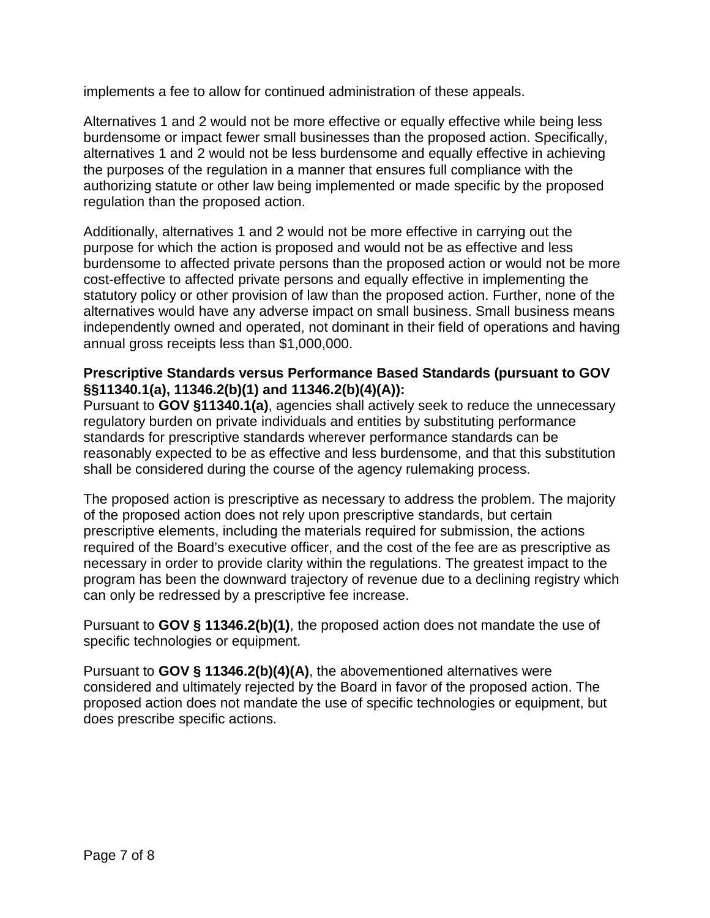implements a fee to allow for continued administration of these appeals.

Alternatives 1 and 2 would not be more effective or equally effective while being less burdensome or impact fewer small businesses than the proposed action. Specifically, alternatives 1 and 2 would not be less burdensome and equally effective in achieving the purposes of the regulation in a manner that ensures full compliance with the authorizing statute or other law being implemented or made specific by the proposed regulation than the proposed action.

Additionally, alternatives 1 and 2 would not be more effective in carrying out the purpose for which the action is proposed and would not be as effective and less burdensome to affected private persons than the proposed action or would not be more cost-effective to affected private persons and equally effective in implementing the statutory policy or other provision of law than the proposed action. Further, none of the alternatives would have any adverse impact on small business. Small business means independently owned and operated, not dominant in their field of operations and having annual gross receipts less than \$1,000,000.

## **Prescriptive Standards versus Performance Based Standards (pursuant to GOV §§11340.1(a), 11346.2(b)(1) and 11346.2(b)(4)(A)):**

Pursuant to **GOV §11340.1(a)**, agencies shall actively seek to reduce the unnecessary regulatory burden on private individuals and entities by substituting performance standards for prescriptive standards wherever performance standards can be reasonably expected to be as effective and less burdensome, and that this substitution shall be considered during the course of the agency rulemaking process.

The proposed action is prescriptive as necessary to address the problem. The majority of the proposed action does not rely upon prescriptive standards, but certain prescriptive elements, including the materials required for submission, the actions required of the Board's executive officer, and the cost of the fee are as prescriptive as necessary in order to provide clarity within the regulations. The greatest impact to the program has been the downward trajectory of revenue due to a declining registry which can only be redressed by a prescriptive fee increase.

Pursuant to **GOV § 11346.2(b)(1)**, the proposed action does not mandate the use of specific technologies or equipment.

Pursuant to **GOV § 11346.2(b)(4)(A)**, the abovementioned alternatives were considered and ultimately rejected by the Board in favor of the proposed action. The proposed action does not mandate the use of specific technologies or equipment, but does prescribe specific actions.